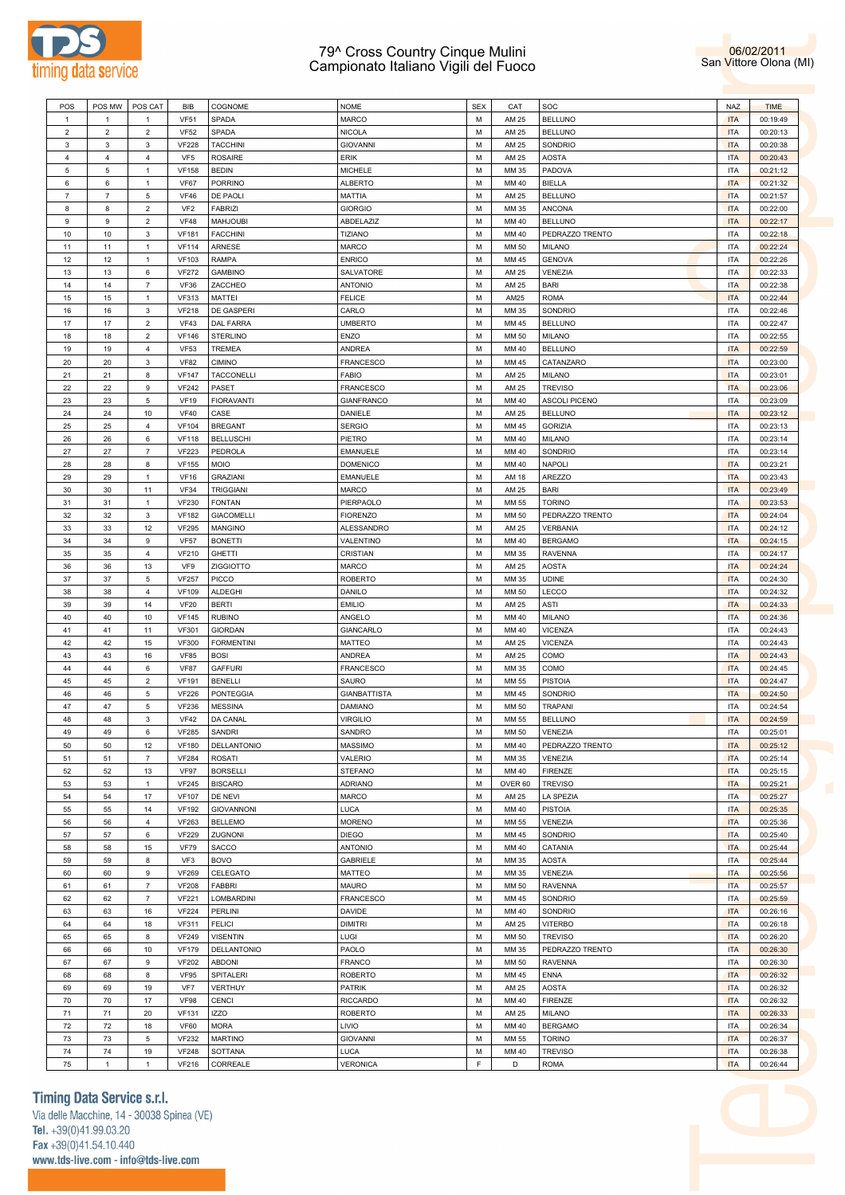



| POS            | POS MW            | POS CAT                   | BIB             | COGNOME           | <b>NOME</b>         | <b>SEX</b> | CAT     | SOC             | <b>NAZ</b> | <b>TIME</b> |
|----------------|-------------------|---------------------------|-----------------|-------------------|---------------------|------------|---------|-----------------|------------|-------------|
| 1              | 1                 | -1                        | <b>VF51</b>     | SPADA             | MARCO               | M          | AM 25   | <b>BELLUNO</b>  | <b>ITA</b> | 00:19:49    |
| $\overline{c}$ | $\overline{2}$    | $\overline{2}$            | <b>VF52</b>     | SPADA             | <b>NICOLA</b>       | М          | AM 25   | <b>BELLUNO</b>  | <b>ITA</b> | 00:20:13    |
| 3              | $\mathbf{3}$      | 3                         | <b>VF228</b>    | <b>TACCHINI</b>   | <b>GIOVANNI</b>     | M          | AM 25   | SONDRIO         | <b>ITA</b> | 00:20:38    |
| $\overline{4}$ | $\bf{4}$          | $\overline{4}$            | VF <sub>5</sub> | <b>ROSAIRE</b>    | ERIK                | M          | AM 25   | <b>AOSTA</b>    | <b>ITA</b> | 00:20:43    |
|                |                   |                           |                 |                   |                     |            |         |                 |            |             |
| 5              | 5                 | $\mathbf{1}$              | <b>VF158</b>    | <b>BEDIN</b>      | <b>MICHELE</b>      | M          | MM 35   | PADOVA          | <b>ITA</b> | 00:21:12    |
| 6              | $\,6\,$           | -1                        | VF67            | PORRINO           | <b>ALBERTO</b>      | M          | MM 40   | <b>BIELLA</b>   | <b>ITA</b> | 00:21:32    |
| $\overline{7}$ | $\scriptstyle{7}$ | 5                         | <b>VF46</b>     | DE PAOLI          | MATTIA              | M          | AM 25   | <b>BELLUNO</b>  | <b>ITA</b> | 00:21:57    |
| 8              | 8                 | $\overline{2}$            | VF <sub>2</sub> | <b>FABRIZI</b>    | <b>GIORGIO</b>      | M          | MM 35   | <b>ANCONA</b>   | <b>ITA</b> | 00:22:00    |
| 9              | 9                 | $\overline{2}$            | <b>VF48</b>     | <b>MAHJOUBI</b>   | ABDELAZIZ           | M          | MM 40   | <b>BELLUNO</b>  | <b>ITA</b> | 00:22:17    |
| 10             | 10                | 3                         | <b>VF181</b>    | <b>FACCHINI</b>   | <b>TIZIANO</b>      | M          | MM 40   | PEDRAZZO TRENTO | <b>ITA</b> | 00:22:18    |
| 11             | 11                | $\mathbf{1}$              | <b>VF114</b>    | ARNESE            | MARCO               | M          | MM 50   | <b>MILANO</b>   | <b>ITA</b> | 00:22:24    |
| 12             | 12                | -1                        | <b>VF103</b>    | <b>RAMPA</b>      | <b>ENRICO</b>       | M          | MM 45   | <b>GENOVA</b>   | <b>ITA</b> | 00:22:26    |
| 13             | 13                | 6                         | <b>VF272</b>    | <b>GAMBINO</b>    | SALVATORE           | M          | AM 25   | VENEZIA         | <b>ITA</b> | 00:22:33    |
| 14             | 14                | $\overline{7}$            | <b>VF36</b>     | ZACCHEO           | <b>ANTONIO</b>      | M          | AM 25   | <b>BARI</b>     | <b>ITA</b> | 00:22:38    |
| 15             | 15                | $\mathbf{1}$              | <b>VF313</b>    | MATTEI            | <b>FELICE</b>       | M          | AM25    | <b>ROMA</b>     | <b>ITA</b> | 00:22:44    |
| 16             | 16                | 3                         | <b>VF218</b>    | DE GASPERI        | CARLO               | M          | MM 35   | SONDRIO         | <b>ITA</b> | 00:22:46    |
| 17             | 17                | $\overline{2}$            | <b>VF43</b>     | DAL FARRA         | <b>UMBERTO</b>      | M          | MM 45   | <b>BELLUNO</b>  | <b>ITA</b> | 00:22:47    |
| 18             | 18                | $\overline{2}$            | <b>VF146</b>    | STERLINO          | ENZO                | M          | MM 50   | <b>MILANO</b>   | <b>ITA</b> | 00:22:55    |
| 19             | 19                | $\overline{4}$            | <b>VF53</b>     | TREMEA            | ANDREA              | M          | MM 40   | <b>BELLUNO</b>  | <b>ITA</b> | 00:22:59    |
| 20             | 20                | 3                         | <b>VF82</b>     | <b>CIMINO</b>     | FRANCESCO           | M          | MM 45   | CATANZARO       | <b>ITA</b> | 00:23:00    |
| 21             | 21                | 8                         | <b>VF147</b>    | TACCONELLI        | FABIO               | M          | AM 25   | <b>MILANO</b>   | <b>ITA</b> | 00:23:01    |
|                |                   |                           |                 |                   |                     |            |         |                 |            |             |
| 22             | 22                | 9                         | <b>VF242</b>    | PASET             | FRANCESCO           | M          | AM 25   | <b>TREVISO</b>  | <b>ITA</b> | 00:23:06    |
| 23             | 23                | 5                         | <b>VF19</b>     | <b>FIORAVANTI</b> | GIANFRANCO          | M          | MM 40   | ASCOLI PICENO   | <b>ITA</b> | 00:23:09    |
| 24             | 24                | 10                        | <b>VF40</b>     | CASE              | DANIELE             | M          | AM 25   | <b>BELLUNO</b>  | <b>ITA</b> | 00:23:12    |
| 25             | 25                | $\overline{4}$            | <b>VF104</b>    | <b>BREGANT</b>    | <b>SERGIO</b>       | M          | MM 45   | <b>GORIZIA</b>  | <b>ITA</b> | 00:23:13    |
| 26             | 26                | 6                         | <b>VF118</b>    | <b>BELLUSCHI</b>  | PIETRO              | M          | MM 40   | MILANO          | <b>ITA</b> | 00:23:14    |
| 27             | 27                | $\overline{7}$            | <b>VF223</b>    | PEDROLA           | EMANUELE            | M          | MM 40   | SONDRIO         | <b>ITA</b> | 00:23:14    |
| 28             | 28                | 8                         | <b>VF155</b>    | <b>MOIO</b>       | <b>DOMENICO</b>     | M          | MM 40   | <b>NAPOLI</b>   | <b>ITA</b> | 00:23:21    |
| 29             | 29                | $\mathbf{1}$              | <b>VF16</b>     | <b>GRAZIANI</b>   | EMANUELE            | M          | AM 18   | AREZZO          | <b>ITA</b> | 00:23:43    |
| 30             | 30                | 11                        | <b>VF34</b>     | <b>TRIGGIANI</b>  | MARCO               | M          | AM 25   | <b>BARI</b>     | <b>ITA</b> | 00:23:49    |
| 31             | 31                | $\mathbf{1}$              | <b>VF230</b>    | <b>FONTAN</b>     | PIERPAOLO           | M          | MM 55   | <b>TORINO</b>   | <b>ITA</b> | 00:23:53    |
| 32             | 32                | 3                         | <b>VF182</b>    | <b>GIACOMELLI</b> | <b>FIORENZO</b>     | M          | MM 50   | PEDRAZZO TRENTO | <b>ITA</b> | 00:24:04    |
| 33             | 33                | 12                        | <b>VF295</b>    | <b>MANGINO</b>    | ALESSANDRO          | M          | AM 25   | <b>VERBANIA</b> | <b>ITA</b> | 00:24:12    |
| 34             | 34                | 9                         | <b>VF57</b>     | <b>BONETTI</b>    | VALENTINO           | M          | MM 40   | <b>BERGAMO</b>  | <b>ITA</b> | 00:24:15    |
| 35             | 35                | $\overline{4}$            | <b>VF210</b>    | <b>GHETTI</b>     | CRISTIAN            | M          | MM 35   | <b>RAVENNA</b>  | <b>ITA</b> | 00:24:17    |
| 36             | 36                | 13                        | VF9             | ZIGGIOTTO         | MARCO               | M          | AM 25   | AOSTA           | <b>ITA</b> | 00:24:24    |
| 37             | 37                | 5                         | <b>VF257</b>    | PICCO             | <b>ROBERTO</b>      | M          | MM 35   | <b>UDINE</b>    | <b>ITA</b> | 00:24:30    |
|                |                   |                           |                 |                   |                     |            |         |                 | <b>ITA</b> |             |
| 38             | 38                | $\overline{4}$            | <b>VF109</b>    | <b>ALDEGHI</b>    | DANILO              | M          | MM 50   | LECCO           |            | 00:24:32    |
| 39             | 39                | 14                        | <b>VF20</b>     | <b>BERTI</b>      | <b>EMILIO</b>       | M          | AM 25   | ASTI            | <b>ITA</b> | 00:24:33    |
| 40             | 40                | 10                        | <b>VF145</b>    | <b>RUBINO</b>     | ANGELO              | M          | MM 40   | MILANO          | <b>ITA</b> | 00:24:36    |
| 41             | 41                | 11                        | <b>VF301</b>    | <b>GIORDAN</b>    | GIANCARLO           | M          | MM 40   | <b>VICENZA</b>  | <b>ITA</b> | 00:24:43    |
| 42             | 42                | 15                        | <b>VF300</b>    | <b>FORMENTINI</b> | MATTEO              | M          | AM 25   | <b>VICENZA</b>  | <b>ITA</b> | 00:24:43    |
| 43             | 43                | 16                        | <b>VF85</b>     | <b>BOSI</b>       | ANDREA              | M          | AM 25   | COMO            | <b>ITA</b> | 00:24:43    |
| 44             | 44                | 6                         | <b>VF87</b>     | <b>GAFFURI</b>    | FRANCESCO           | M          | MM 35   | COMO            | <b>ITA</b> | 00:24:45    |
| 45             | 45                | $\overline{2}$            | <b>VF191</b>    | <b>BENELLI</b>    | SAURO               | M          | MM 55   | <b>PISTOIA</b>  | <b>ITA</b> | 00:24:47    |
| 46             | 46                | 5                         | <b>VF226</b>    | <b>PONTEGGIA</b>  | <b>GIANBATTISTA</b> | M          | MM 45   | SONDRIO         | <b>ITA</b> | 00:24:50    |
| 47             | 47                | 5                         | <b>VF236</b>    | <b>MESSINA</b>    | <b>DAMIANO</b>      | M          | MM 50   | TRAPANI         | <b>ITA</b> | 00:24:54    |
| 48             | 48                | 3                         | <b>VF42</b>     | DA CANAL          | <b>VIRGILIO</b>     | М          | MM 55   | <b>BELLUNO</b>  | <b>ITA</b> | 00:24:59    |
| 49             | 49                | $\,6\,$                   | <b>VF285</b>    | SANDRI            | SANDRO              | M          | MM 50   | VENEZIA         | <b>ITA</b> | 00:25:01    |
| 50             | 50                | 12                        | <b>VF180</b>    | DELLANTONIO       | MASSIMO             | M          | MM 40   | PEDRAZZO TRENTO | <b>ITA</b> | 00:25:12    |
| 51             | 51                | $\overline{\mathfrak{z}}$ | <b>VF284</b>    | <b>ROSATI</b>     | VALERIO             | M          | MM 35   | VENEZIA         | <b>ITA</b> | 00:25:14    |
| 52             | 52                | 13                        | <b>VF97</b>     | <b>BORSELLI</b>   | <b>STEFANO</b>      | M          | MM 40   | <b>FIRENZE</b>  | <b>ITA</b> | 00:25:15    |
| 53             | 53                | $\mathbf{1}$              | <b>VF245</b>    | <b>BISCARO</b>    | <b>ADRIANO</b>      | M          | OVER 60 | <b>TREVISO</b>  | <b>ITA</b> | 00:25:21    |
| 54             | 54                | 17                        | <b>VF107</b>    | DE NEVI           | MARCO               | M          | AM 25   | LA SPEZIA       | <b>ITA</b> | 00:25:27    |
| 55             | 55                | 14                        | <b>VF192</b>    | <b>GIOVANNONI</b> | LUCA                | M          | MM 40   | <b>PISTOIA</b>  | <b>ITA</b> | 00:25:35    |
|                |                   |                           |                 | <b>BELLEMO</b>    |                     |            |         |                 |            |             |
| 56             | 56                | $\overline{4}$            | <b>VF263</b>    |                   | <b>MORENO</b>       | M          | MM 55   | VENEZIA         | <b>ITA</b> | 00:25:36    |
| 57             | 57                | 6                         | <b>VF229</b>    | ZUGNONI           | <b>DIEGO</b>        | M          | MM 45   | SONDRIO         | <b>ITA</b> | 00:25:40    |
| 58             | 58                | 15                        | <b>VF79</b>     | SACCO             | <b>ANTONIO</b>      | M          | MM 40   | CATANIA         | <b>ITA</b> | 00:25:44    |
| 59             | 59                | 8                         | VF3             | <b>BOVO</b>       | <b>GABRIELE</b>     | M          | MM 35   | <b>AOSTA</b>    | <b>ITA</b> | 00:25:44    |
| 60             | 60                | 9                         | <b>VF269</b>    | CELEGATO          | MATTEO              | M          | MM 35   | VENEZIA         | <b>ITA</b> | 00:25:56    |
| 61             | 61                | $\overline{7}$            | <b>VF208</b>    | <b>FABBRI</b>     | MAURO               | M          | MM 50   | <b>RAVENNA</b>  | <b>ITA</b> | 00:25:57    |
| 62             | 62                | $\overline{7}$            | <b>VF221</b>    | LOMBARDINI        | FRANCESCO           | M          | MM 45   | SONDRIO         | <b>ITA</b> | 00:25:59    |
| 63             | 63                | 16                        | <b>VF224</b>    | PERLINI           | DAVIDE              | M          | MM 40   | SONDRIO         | <b>ITA</b> | 00:26:16    |
| 64             | 64                | 18                        | <b>VF311</b>    | <b>FELICI</b>     | <b>DIMITRI</b>      | M          | AM 25   | <b>VITERBO</b>  | <b>ITA</b> | 00:26:18    |
| 65             | 65                | 8                         | <b>VF249</b>    | <b>VISENTIN</b>   | LUGI                | M          | MM 50   | <b>TREVISO</b>  | <b>ITA</b> | 00:26:20    |
| 66             | 66                | 10                        | <b>VF179</b>    | DELLANTONIO       | PAOLO               | M          | MM 35   | PEDRAZZO TRENTO | <b>ITA</b> | 00:26:30    |
| 67             | 67                | 9                         | <b>VF202</b>    | <b>ABDONI</b>     | FRANCO              | M          | MM 50   | <b>RAVENNA</b>  | <b>ITA</b> | 00:26:30    |
| 68             | 68                | 8                         | <b>VF95</b>     | SPITALERI         | <b>ROBERTO</b>      | M          | MM 45   | <b>ENNA</b>     | <b>ITA</b> | 00:26:32    |
| 69             | 69                | 19                        | VF7             | VERTHUY           | PATRIK              | M          | AM 25   | <b>AOSTA</b>    | <b>ITA</b> | 00:26:32    |
| 70             | 70                | 17                        | <b>VF98</b>     | CENCI             | <b>RICCARDO</b>     | M          | MM 40   | <b>FIRENZE</b>  | <b>ITA</b> | 00:26:32    |
| 71             | 71                | 20                        | <b>VF131</b>    | <b>IZZO</b>       | <b>ROBERTO</b>      | M          | AM 25   | <b>MILANO</b>   | <b>ITA</b> | 00:26:33    |
| 72             | 72                | 18                        | <b>VF60</b>     | <b>MORA</b>       | LIVIO               | M          | MM 40   | <b>BERGAMO</b>  | ITA        | 00:26:34    |
| 73             | 73                | 5                         | <b>VF232</b>    | <b>MARTINO</b>    | GIOVANNI            | M          | MM 55   | <b>TORINO</b>   | <b>ITA</b> | 00:26:37    |
|                |                   |                           |                 |                   |                     |            |         |                 |            |             |
| 74             | 74                | 19                        | <b>VF248</b>    | SOTTANA           | LUCA                | M          | MM 40   | <b>TREVISO</b>  | <b>ITA</b> | 00:26:38    |
| 75             | 1                 | $\mathbf{1}$              | <b>VF216</b>    | CORREALE          | <b>VERONICA</b>     | F          | D       | <b>ROMA</b>     | <b>ITA</b> | 00:26:44    |

# **Timing Data Service s.r.l.**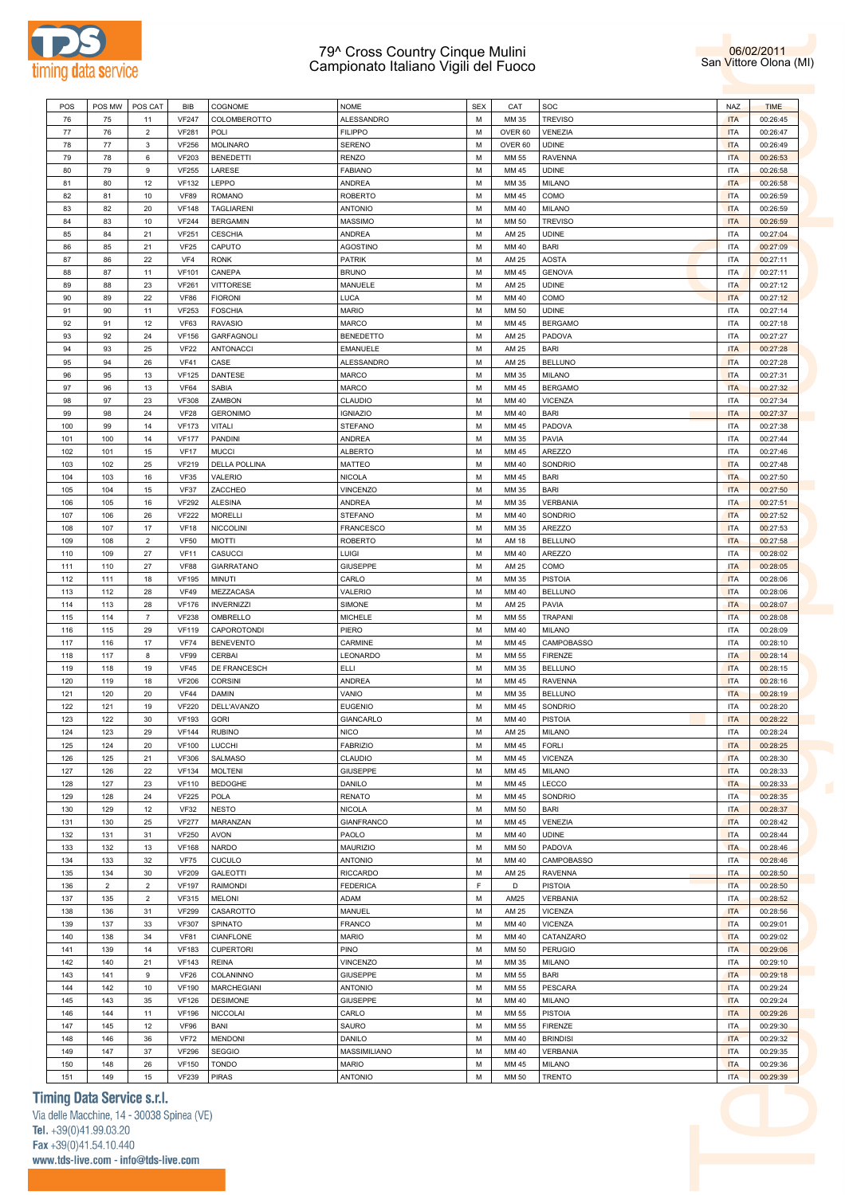



| POS        | POS MW         | POS CAT        | <b>BIB</b>                  | COGNOME                         | NOME                             | <b>SEX</b>  | CAT            | SOC                              | <b>NAZ</b>               | <b>TIME</b>          |
|------------|----------------|----------------|-----------------------------|---------------------------------|----------------------------------|-------------|----------------|----------------------------------|--------------------------|----------------------|
| 76         | 75             | 11             | <b>VF247</b>                | COLOMBEROTTO                    | ALESSANDRO                       | M           | MM 35          | <b>TREVISO</b>                   | <b>ITA</b>               | 00:26:45             |
| 77         | 76             | $\overline{2}$ | <b>VF281</b>                | POLI                            | <b>FILIPPO</b>                   | M           | OVER 60        | VENEZIA                          | <b>ITA</b>               | 00:26:47             |
| 78         | 77             | 3              | <b>VF256</b>                | <b>MOLINARO</b>                 | SERENO                           | M           | OVER 60        | <b>UDINE</b>                     | <b>ITA</b>               | 00:26:49             |
| 79         | 78             | 6              | <b>VF203</b>                | <b>BENEDETTI</b>                | <b>RENZO</b>                     | M           | MM 55          | <b>RAVENNA</b>                   | <b>ITA</b>               | 00:26:53             |
| 80         | 79             | 9              | <b>VF255</b>                | LARESE                          | <b>FABIANO</b>                   | M           | MM 45          | <b>UDINE</b>                     | <b>ITA</b>               | 00:26:58             |
| 81         | 80             | 12             | <b>VF132</b>                | LEPPO                           | ANDREA                           | M           | MM 35          | <b>MILANO</b>                    | <b>ITA</b>               | 00:26:58             |
| 82         | 81             | $10$           | <b>VF89</b>                 | <b>ROMANO</b>                   | <b>ROBERTO</b>                   | M           | MM 45          | COMO                             | <b>ITA</b>               | 00:26:59             |
| 83         | 82             | 20             | <b>VF148</b>                | TAGLIARENI                      | <b>ANTONIO</b>                   | M           | MM 40          | <b>MILANO</b>                    | <b>ITA</b>               | 00:26:59             |
| 84         | 83             | $10$           | <b>VF244</b>                | <b>BERGAMIN</b>                 | MASSIMO                          | M           | MM 50          | <b>TREVISO</b>                   | <b>ITA</b>               | 00:26:59             |
| 85         | 84             | 21             | <b>VF251</b><br>VF25        | <b>CESCHIA</b>                  | ANDREA                           | M<br>M      | AM 25<br>MM 40 | <b>UDINE</b><br><b>BARI</b>      | <b>ITA</b><br><b>ITA</b> | 00:27:04             |
| 86<br>87   | 85<br>86       | 21<br>22       | VF4                         | CAPUTO<br><b>RONK</b>           | <b>AGOSTINO</b><br><b>PATRIK</b> | M           | AM 25          | <b>AOSTA</b>                     | <b>ITA</b>               | 00:27:09<br>00:27:11 |
| 88         | 87             | 11             | <b>VF101</b>                | CANEPA                          | <b>BRUNO</b>                     | M           | MM 45          | <b>GENOVA</b>                    | <b>ITA</b>               | 00:27:11             |
| 89         | 88             | 23             | <b>VF261</b>                | <b>VITTORESE</b>                | MANUELE                          | M           | AM 25          | <b>UDINE</b>                     | <b>ITA</b>               | 00:27:12             |
| 90         | 89             | 22             | <b>VF86</b>                 | <b>FIORONI</b>                  | LUCA                             | M           | MM 40          | COMO                             | <b>ITA</b>               | 00:27:12             |
| 91         | 90             | 11             | <b>VF253</b>                | <b>FOSCHIA</b>                  | <b>MARIO</b>                     | M           | MM 50          | <b>UDINE</b>                     | <b>ITA</b>               | 00:27:14             |
| 92         | 91             | 12             | <b>VF63</b>                 | <b>RAVASIO</b>                  | MARCO                            | M           | MM 45          | <b>BERGAMO</b>                   | <b>ITA</b>               | 00:27:18             |
| 93         | 92             | 24             | <b>VF156</b>                | <b>GARFAGNOLI</b>               | <b>BENEDETTO</b>                 | M           | AM 25          | PADOVA                           | <b>ITA</b>               | 00:27:27             |
| 94         | 93             | 25             | <b>VF22</b>                 | <b>ANTONACCI</b>                | <b>EMANUELE</b>                  | M           | AM 25          | <b>BARI</b>                      | <b>ITA</b>               | 00:27:28             |
| 95         | 94             | 26             | <b>VF41</b>                 | CASE                            | ALESSANDRO                       | M           | AM 25          | <b>BELLUNO</b>                   | <b>ITA</b>               | 00:27:28             |
| 96         | 95             | 13             | <b>VF125</b>                | DANTESE                         | MARCO                            | M           | MM 35          | <b>MILANO</b>                    | <b>ITA</b>               | 00:27:31             |
| 97         | 96             | 13             | <b>VF64</b>                 | <b>SABIA</b>                    | MARCO                            | M           | MM 45          | <b>BERGAMO</b>                   | <b>ITA</b>               | 00:27:32             |
| 98         | 97             | 23             | <b>VF308</b>                | ZAMBON                          | CLAUDIO                          | M           | MM 40          | <b>VICENZA</b>                   | <b>ITA</b>               | 00:27:34             |
| 99         | 98             | 24             | <b>VF28</b>                 | <b>GERONIMO</b>                 | <b>IGNIAZIO</b>                  | M           | MM 40          | <b>BARI</b>                      | <b>ITA</b>               | 00:27:37             |
| 100        | 99             | 14             | <b>VF173</b>                | <b>VITALI</b>                   | <b>STEFANO</b>                   | M           | MM 45          | PADOVA                           | <b>ITA</b>               | 00:27:38             |
| 101        | 100            | 14             | <b>VF177</b>                | PANDINI                         | ANDREA                           | M           | MM 35          | PAVIA                            | <b>ITA</b>               | 00:27:44             |
| 102        | 101            | 15<br>25       | <b>VF17</b>                 | <b>MUCCI</b>                    | <b>ALBERTO</b>                   | M<br>M      | MM 45          | <b>AREZZO</b>                    | <b>ITA</b>               | 00:27:46             |
| 103<br>104 | 102<br>103     | 16             | <b>VF219</b><br><b>VF35</b> | <b>DELLA POLLINA</b><br>VALERIO | <b>MATTEO</b><br><b>NICOLA</b>   | M           | MM 40<br>MM 45 | SONDRIO<br><b>BARI</b>           | <b>ITA</b><br><b>ITA</b> | 00:27:48<br>00:27:50 |
| 105        | 104            | 15             | <b>VF37</b>                 | ZACCHEO                         | VINCENZO                         | M           | MM 35          | <b>BARI</b>                      | <b>ITA</b>               | 00:27:50             |
| 106        | 105            | 16             | <b>VF292</b>                | <b>ALESINA</b>                  | ANDREA                           | M           | MM 35          | VERBANIA                         | <b>ITA</b>               | 00:27:51             |
| 107        | 106            | 26             | <b>VF222</b>                | <b>MORELLI</b>                  | <b>STEFANO</b>                   | M           | MM 40          | SONDRIO                          | <b>ITA</b>               | 00:27:52             |
| 108        | 107            | 17             | <b>VF18</b>                 | <b>NICCOLINI</b>                | FRANCESCO                        | M           | MM 35          | <b>AREZZO</b>                    | <b>ITA</b>               | 00:27:53             |
| 109        | 108            | $\overline{2}$ | <b>VF50</b>                 | <b>MIOTTI</b>                   | <b>ROBERTO</b>                   | M           | AM 18          | <b>BELLUNO</b>                   | <b>ITA</b>               | 00:27:58             |
| 110        | 109            | 27             | <b>VF11</b>                 | CASUCCI                         | LUIGI                            | M           | MM 40          | <b>AREZZO</b>                    | <b>ITA</b>               | 00:28:02             |
| 111        | 110            | 27             | <b>VF88</b>                 | <b>GIARRATANO</b>               | <b>GIUSEPPE</b>                  | M           | AM 25          | COMO                             | <b>ITA</b>               | 00:28:05             |
| 112        | 111            | 18             | <b>VF195</b>                | <b>MINUTI</b>                   | CARLO                            | M           | MM 35          | <b>PISTOIA</b>                   | <b>ITA</b>               | 00:28:06             |
| 113        | 112            | 28             | <b>VF49</b>                 | MEZZACASA                       | VALERIO                          | M           | MM 40          | <b>BELLUNO</b>                   | <b>ITA</b>               | 00:28:06             |
| 114        | 113            | 28             | <b>VF176</b>                | <b>INVERNIZZI</b>               | SIMONE                           | M           | AM 25          | PAVIA                            | <b>ITA</b>               | 00:28:07             |
| 115        | 114            | $\overline{7}$ | <b>VF238</b>                | OMBRELLO                        | <b>MICHELE</b>                   | M           | MM 55          | <b>TRAPANI</b>                   | <b>ITA</b>               | 00:28:08             |
| 116        | 115            | 29             | <b>VF119</b>                | CAPOROTONDI                     | PIERO                            | M           | MM 40          | <b>MILANO</b>                    | <b>ITA</b>               | 00:28:09             |
| 117        | 116            | 17             | <b>VF74</b>                 | <b>BENEVENTO</b>                | CARMINE                          | M           | MM 45          | <b>CAMPOBASSO</b>                | <b>ITA</b>               | 00:28:10             |
| 118        | 117            | 8              | <b>VF99</b>                 | CERBAI                          | LEONARDO                         | M           | MM 55          | <b>FIRENZE</b>                   | <b>ITA</b>               | 00:28:14             |
| 119        | 118            | 19             | <b>VF45</b>                 | DE FRANCESCH                    | ELLI                             | M           | MM 35          | <b>BELLUNO</b>                   | <b>ITA</b>               | 00:28:15             |
| 120<br>121 | 119<br>120     | 18<br>20       | <b>VF206</b><br><b>VF44</b> | <b>CORSINI</b><br><b>DAMIN</b>  | ANDREA<br>VANIO                  | M<br>M      | MM 45<br>MM 35 | <b>RAVENNA</b><br><b>BELLUNO</b> | <b>ITA</b><br><b>ITA</b> | 00:28:16<br>00:28:19 |
| 122        | 121            | 19             | <b>VF220</b>                | DELL'AVANZO                     | <b>EUGENIO</b>                   | M           | MM 45          | SONDRIO                          | <b>ITA</b>               | 00:28:20             |
| 123        | 122            | 30             | <b>VF193</b>                | <b>GORI</b>                     | GIANCARLO                        | M           | MM 40          | <b>PISTOIA</b>                   | <b>ITA</b>               | 00:28:22             |
| 124        | 123            | 29             | <b>VF144</b>                | <b>RUBINO</b>                   | <b>NICO</b>                      | M           | AM 25          | MILANO                           | <b>ITA</b>               | 00:28:24             |
| 125        | 124            | 20             | <b>VF100</b>                | LUCCHI                          | <b>FABRIZIO</b>                  | M           | MM 45          | <b>FORLI</b>                     | <b>ITA</b>               | 00:28:25             |
| 126        | 125            | 21             | <b>VF306</b>                | <b>SALMASO</b>                  | CLAUDIO                          | M           | MM 45          | <b>VICENZA</b>                   | <b>ITA</b>               | 00:28:30             |
| 127        | 126            | 22             | <b>VF134</b>                | <b>MOLTENI</b>                  | <b>GIUSEPPE</b>                  | M           | MM 45          | <b>MILANO</b>                    | <b>ITA</b>               | 00:28:33             |
| 128        | 127            | 23             | <b>VF110</b>                | <b>BEDOGHE</b>                  | DANILO                           | M           | MM 45          | LECCO                            | <b>ITA</b>               | 00:28:33             |
| 129        | 128            | 24             | <b>VF225</b>                | <b>POLA</b>                     | <b>RENATO</b>                    | M           | MM 45          | SONDRIO                          | <b>ITA</b>               | 00:28:35             |
| 130        | 129            | 12             | <b>VF32</b>                 | <b>NESTO</b>                    | <b>NICOLA</b>                    | M           | MM 50          | <b>BARI</b>                      | <b>ITA</b>               | 00:28:37             |
| 131        | 130            | 25             | <b>VF277</b>                | MARANZAN                        | <b>GIANFRANCO</b>                | M           | MM 45          | VENEZIA                          | <b>ITA</b>               | 00:28:42             |
| 132        | 131            | 31             | <b>VF250</b>                | <b>AVON</b>                     | PAOLO                            | M           | MM 40          | <b>UDINE</b>                     | <b>ITA</b>               | 00:28:44             |
| 133        | 132            | 13             | <b>VF168</b>                | <b>NARDO</b>                    | <b>MAURIZIO</b>                  | M           | MM 50          | PADOVA                           | <b>ITA</b>               | 00:28:46             |
| 134        | 133            | 32             | <b>VF75</b>                 | CUCULO                          | <b>ANTONIO</b>                   | M           | MM 40          | <b>CAMPOBASSO</b>                | <b>ITA</b>               | 00:28:46             |
| 135        | 134            | 30             | <b>VF209</b>                | GALEOTTI                        | <b>RICCARDO</b>                  | M           | AM 25          | <b>RAVENNA</b>                   | <b>ITA</b>               | 00:28:50             |
| 136        | $\overline{2}$ | $\overline{2}$ | <b>VF197</b>                | <b>RAIMONDI</b>                 | FEDERICA                         | $\mathsf F$ | D              | <b>PISTOIA</b>                   | <b>ITA</b>               | 00:28:50             |
| 137        | 135            | $\overline{2}$ | <b>VF315</b>                | <b>MELONI</b>                   | ADAM                             | M           | AM25           | VERBANIA                         | <b>ITA</b>               | 00:28:52             |
| 138        | 136            | 31             | <b>VF299</b>                | CASAROTTO                       | MANUEL                           | M<br>M      | AM 25          | <b>VICENZA</b>                   | <b>ITA</b>               | 00:28:56             |
| 139<br>140 | 137<br>138     | 33<br>34       | <b>VF307</b><br><b>VF81</b> | SPINATO<br>CIANFLONE            | <b>FRANCO</b><br><b>MARIO</b>    | M           | MM 40<br>MM 40 | <b>VICENZA</b><br>CATANZARO      | <b>ITA</b><br><b>ITA</b> | 00:29:01<br>00:29:02 |
| 141        | 139            | 14             | <b>VF183</b>                | <b>CUPERTORI</b>                | PINO                             | M           | MM 50          | <b>PERUGIO</b>                   | <b>ITA</b>               | 00:29:06             |
| 142        | 140            | 21             | <b>VF143</b>                | <b>REINA</b>                    | VINCENZO                         | M           | MM 35          | <b>MILANO</b>                    | <b>ITA</b>               | 00:29:10             |
| 143        | 141            | 9              | <b>VF26</b>                 | COLANINNO                       | GIUSEPPE                         | M           | MM 55          | <b>BARI</b>                      | <b>ITA</b>               | 00:29:18             |
| 144        | 142            | $10$           | <b>VF190</b>                | <b>MARCHEGIANI</b>              | <b>ANTONIO</b>                   | M           | MM 55          | PESCARA                          | <b>ITA</b>               | 00:29:24             |
| 145        | 143            | 35             | <b>VF126</b>                | <b>DESIMONE</b>                 | <b>GIUSEPPE</b>                  | M           | MM 40          | <b>MILANO</b>                    | <b>ITA</b>               | 00:29:24             |
| 146        | 144            | 11             | <b>VF196</b>                | <b>NICCOLAI</b>                 | CARLO                            | M           | MM 55          | <b>PISTOIA</b>                   | <b>ITA</b>               | 00:29:26             |
| 147        | 145            | 12             | <b>VF96</b>                 | BANI                            | SAURO                            | M           | MM 55          | <b>FIRENZE</b>                   | <b>ITA</b>               | 00:29:30             |
| 148        | 146            | 36             | <b>VF72</b>                 | <b>MENDONI</b>                  | DANILO                           | M           | MM 40          | <b>BRINDISI</b>                  | <b>ITA</b>               | 00:29:32             |
| 149        | 147            | 37             | <b>VF296</b>                | <b>SEGGIO</b>                   | MASSIMILIANO                     | M           | MM 40          | VERBANIA                         | <b>ITA</b>               | 00:29:35             |
| 150        | 148            | 26             | <b>VF150</b>                | <b>TONDO</b>                    | <b>MARIO</b>                     | M           | MM 45          | <b>MILANO</b>                    | <b>ITA</b>               | 00:29:36             |
| 151        | 149            | 15             | <b>VF239</b>                | <b>PIRAS</b>                    | <b>ANTONIO</b>                   | M           | MM 50          | <b>TRENTO</b>                    | <b>ITA</b>               | 00:29:39             |

# **Timing Data Service s.r.l.**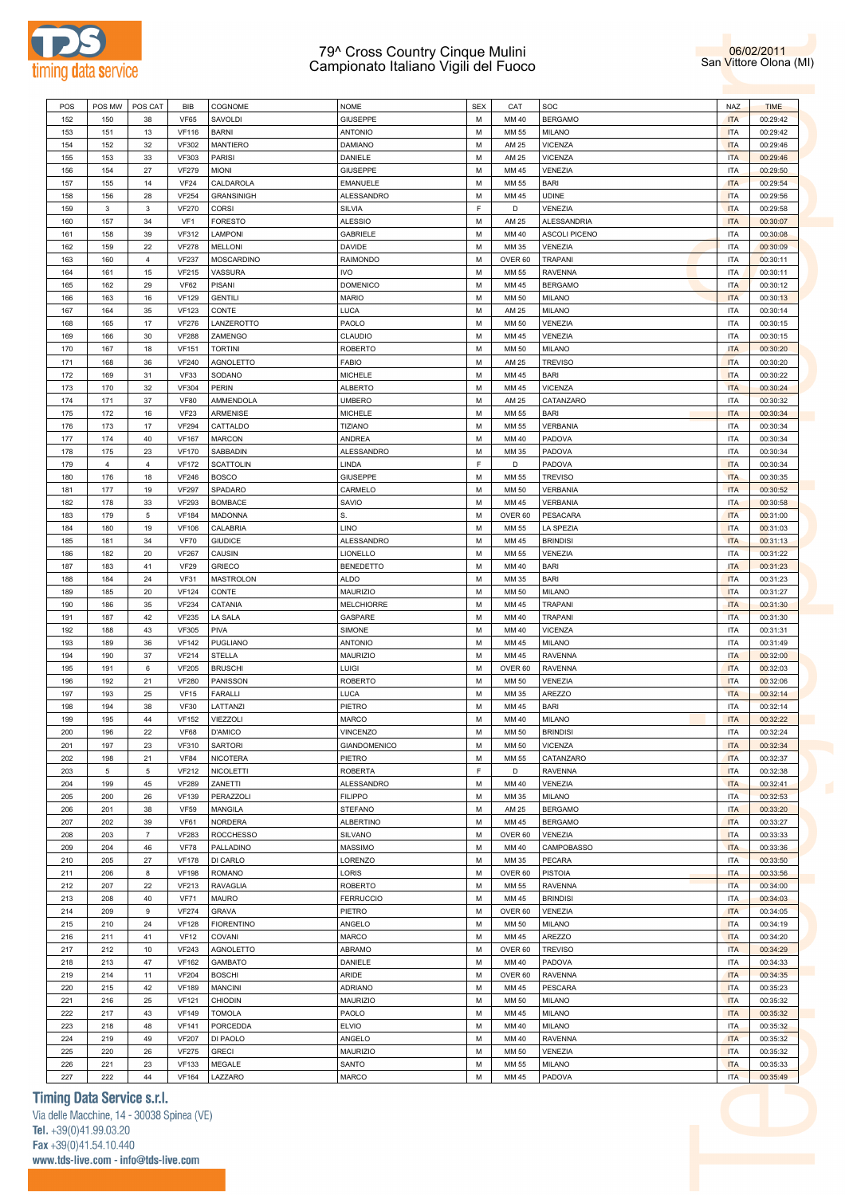



| POS | POS MW         | POS CAT        | BIB             | COGNOME           | <b>NOME</b>      | <b>SEX</b> | CAT                | SOC                  | <b>NAZ</b> | <b>TIME</b> |
|-----|----------------|----------------|-----------------|-------------------|------------------|------------|--------------------|----------------------|------------|-------------|
| 152 | 150            | 38             | <b>VF65</b>     | SAVOLDI           | <b>GIUSEPPE</b>  | М          | MM 40              | <b>BERGAMO</b>       | <b>ITA</b> | 00:29:42    |
| 153 | 151            | 13             | <b>VF116</b>    | <b>BARNI</b>      | <b>ANTONIO</b>   | М          | MM 55              | MILANO               | <b>ITA</b> | 00:29:42    |
|     |                |                |                 |                   |                  |            |                    |                      |            |             |
| 154 | 152            | 32             | <b>VF302</b>    | MANTIERO          | <b>DAMIANO</b>   | М          | AM 25              | VICENZA              | <b>ITA</b> | 00:29:46    |
| 155 | 153            | 33             | <b>VF303</b>    | <b>PARISI</b>     | DANIELE          | М          | AM 25              | <b>VICENZA</b>       | <b>ITA</b> | 00:29:46    |
| 156 | 154            | 27             | <b>VF279</b>    | <b>MIONI</b>      | <b>GIUSEPPE</b>  | М          | MM 45              | VENEZIA              | <b>ITA</b> | 00:29:50    |
| 157 | 155            | 14             | <b>VF24</b>     | CALDAROLA         | EMANUELE         | М          | MM 55              | <b>BARI</b>          | <b>ITA</b> | 00:29:54    |
| 158 | 156            | 28             | <b>VF254</b>    | <b>GRANSINIGH</b> | ALESSANDRO       | М          | MM 45              | <b>UDINE</b>         | <b>ITA</b> | 00:29:56    |
| 159 | 3              | $\mathbf{3}$   | <b>VF270</b>    | CORSI             | SILVIA           | F          | D                  | VENEZIA              | <b>ITA</b> | 00:29:58    |
| 160 | 157            | 34             | VF <sub>1</sub> | <b>FORESTO</b>    | <b>ALESSIO</b>   | М          | AM 25              | <b>ALESSANDRIA</b>   | <b>ITA</b> | 00:30:07    |
| 161 | 158            | 39             | <b>VF312</b>    | LAMPONI           | <b>GABRIELE</b>  | М          | MM 40              | <b>ASCOLI PICENO</b> | <b>ITA</b> | 00:30:08    |
| 162 | 159            | 22             | <b>VF278</b>    | <b>MELLONI</b>    | DAVIDE           | М          | MM 35              | VENEZIA              | <b>ITA</b> | 00:30:09    |
| 163 | 160            | $\overline{4}$ | <b>VF237</b>    | MOSCARDINO        | RAIMONDO         | М          | OVER 60            | TRAPANI              | <b>ITA</b> | 00:30:11    |
|     |                |                |                 |                   |                  |            |                    |                      |            |             |
| 164 | 161            | 15             | <b>VF215</b>    | VASSURA           | <b>IVO</b>       | М          | MM 55              | <b>RAVENNA</b>       | <b>ITA</b> | 00:30:11    |
| 165 | 162            | 29             | VF62            | PISANI            | <b>DOMENICO</b>  | М          | MM 45              | <b>BERGAMO</b>       | <b>ITA</b> | 00:30:12    |
| 166 | 163            | 16             | <b>VF129</b>    | <b>GENTILI</b>    | <b>MARIO</b>     | М          | MM 50              | MILANO               | <b>ITA</b> | 00:30:13    |
| 167 | 164            | 35             | <b>VF123</b>    | CONTE             | LUCA             | М          | AM 25              | MILANO               | <b>ITA</b> | 00:30:14    |
| 168 | 165            | 17             | <b>VF276</b>    | LANZEROTTO        | PAOLO            | М          | MM 50              | VENEZIA              | <b>ITA</b> | 00:30:15    |
| 169 | 166            | 30             | <b>VF288</b>    | ZAMENGO           | CLAUDIO          | М          | MM 45              | VENEZIA              | <b>ITA</b> | 00:30:15    |
| 170 | 167            | 18             | <b>VF151</b>    | <b>TORTINI</b>    | <b>ROBERTO</b>   | М          | MM 50              | MILANO               | <b>ITA</b> | 00:30:20    |
| 171 | 168            | 36             | <b>VF240</b>    | AGNOLETTO         | FABIO            | М          | AM 25              | <b>TREVISO</b>       | <b>ITA</b> | 00:30:20    |
| 172 | 169            | 31             | <b>VF33</b>     | SODANO            | MICHELE          | М          | MM 45              | <b>BARI</b>          | <b>ITA</b> | 00:30:22    |
|     |                |                |                 |                   |                  |            |                    |                      |            |             |
| 173 | 170            | 32             | <b>VF304</b>    | PERIN             | <b>ALBERTO</b>   | М          | MM 45              | <b>VICENZA</b>       | <b>ITA</b> | 00:30:24    |
| 174 | 171            | 37             | <b>VF80</b>     | AMMENDOLA         | <b>UMBERO</b>    | М          | AM 25              | CATANZARO            | <b>ITA</b> | 00:30:32    |
| 175 | 172            | 16             | <b>VF23</b>     | <b>ARMENISE</b>   | MICHELE          | М          | MM 55              | BARI                 | <b>ITA</b> | 00:30:34    |
| 176 | 173            | 17             | <b>VF294</b>    | CATTALDO          | <b>TIZIANO</b>   | М          | MM 55              | <b>VERBANIA</b>      | <b>ITA</b> | 00:30:34    |
| 177 | 174            | 40             | <b>VF167</b>    | <b>MARCON</b>     | ANDREA           | М          | MM 40              | PADOVA               | <b>ITA</b> | 00:30:34    |
| 178 | 175            | 23             | <b>VF170</b>    | SABBADIN          | ALESSANDRO       | М          | MM 35              | PADOVA               | <b>ITA</b> | 00:30:34    |
| 179 | $\overline{4}$ | $\overline{4}$ | <b>VF172</b>    | <b>SCATTOLIN</b>  | LINDA            | F.         | D                  | PADOVA               | <b>ITA</b> | 00:30:34    |
| 180 | 176            | 18             | <b>VF246</b>    | <b>BOSCO</b>      | GIUSEPPE         | М          | MM 55              | <b>TREVISO</b>       | <b>ITA</b> | 00:30:35    |
| 181 | 177            | 19             | <b>VF297</b>    | SPADARO           | CARMELO          | М          | MM 50              | <b>VERBANIA</b>      | <b>ITA</b> | 00:30:52    |
| 182 | 178            | 33             | <b>VF293</b>    | <b>BOMBACE</b>    | SAVIO            | М          | MM 45              | <b>VERBANIA</b>      | <b>ITA</b> | 00:30:58    |
|     |                |                |                 |                   | S.               |            |                    |                      | <b>ITA</b> |             |
| 183 | 179            | 5              | <b>VF184</b>    | <b>MADONNA</b>    |                  | М          | OVER <sub>60</sub> | PESACARA             |            | 00:31:00    |
| 184 | 180            | 19             | <b>VF106</b>    | CALABRIA          | LINO             | М          | MM 55              | LA SPEZIA            | <b>ITA</b> | 00:31:03    |
| 185 | 181            | 34             | <b>VF70</b>     | <b>GIUDICE</b>    | ALESSANDRO       | М          | MM 45              | <b>BRINDISI</b>      | <b>ITA</b> | 00:31:13    |
| 186 | 182            | 20             | <b>VF267</b>    | CAUSIN            | LIONELLO         | М          | MM 55              | VENEZIA              | <b>ITA</b> | 00:31:22    |
| 187 | 183            | 41             | <b>VF29</b>     | <b>GRIECO</b>     | <b>BENEDETTO</b> | М          | MM 40              | <b>BARI</b>          | <b>ITA</b> | 00:31:23    |
| 188 | 184            | 24             | <b>VF31</b>     | MASTROLON         | <b>ALDO</b>      | М          | MM 35              | <b>BARI</b>          | <b>ITA</b> | 00:31:23    |
| 189 | 185            | 20             | <b>VF124</b>    | CONTE             | <b>MAURIZIO</b>  | М          | MM 50              | <b>MILANO</b>        | <b>ITA</b> | 00:31:27    |
| 190 | 186            | 35             | <b>VF234</b>    | CATANIA           | MELCHIORRE       | М          | MM 45              | <b>TRAPANI</b>       | <b>ITA</b> | 00:31:30    |
| 191 | 187            | 42             | <b>VF235</b>    | LA SALA           | GASPARE          | М          | MM 40              | TRAPANI              | <b>ITA</b> | 00:31:30    |
| 192 | 188            | 43             | <b>VF305</b>    | PIVA              | SIMONE           | М          | MM 40              | <b>VICENZA</b>       | <b>ITA</b> | 00:31:31    |
| 193 | 189            | 36             | <b>VF142</b>    | PUGLIANO          | ANTONIO          | М          | MM 45              | MILANO               | <b>ITA</b> | 00:31:49    |
|     |                |                |                 |                   |                  |            |                    |                      |            |             |
| 194 | 190            | 37             | <b>VF214</b>    | STELLA            | <b>MAURIZIO</b>  | М          | MM 45              | <b>RAVENNA</b>       | <b>ITA</b> | 00:32:00    |
| 195 | 191            | 6              | <b>VF205</b>    | <b>BRUSCHI</b>    | LUIGI            | М          | OVER <sub>60</sub> | <b>RAVENNA</b>       | <b>ITA</b> | 00:32:03    |
| 196 | 192            | 21             | <b>VF280</b>    | PANISSON          | ROBERTO          | М          | MM 50              | VENEZIA              | <b>ITA</b> | 00:32:06    |
| 197 | 193            | 25             | <b>VF15</b>     | <b>FARALLI</b>    | LUCA             | М          | MM 35              | <b>AREZZO</b>        | <b>ITA</b> | 00:32:14    |
| 198 | 194            | 38             | <b>VF30</b>     | LATTANZI          | PIETRO           | М          | MM 45              | <b>BARI</b>          | <b>ITA</b> | 00:32:14    |
| 199 | 195            | 44             | <b>VF152</b>    | VIEZZOLI          | MARCO            | М          | MM 40              | <b>MILANO</b>        | <b>ITA</b> | 00:32:22    |
| 200 | 196            | 22             | <b>VF68</b>     | D'AMICO           | VINCENZO         | M          | MM 50              | <b>BRINDISI</b>      | <b>ITA</b> | 00:32:24    |
| 201 | 197            | 23             | <b>VF310</b>    | <b>SARTORI</b>    | GIANDOMENICO     | М          | MM 50              | <b>VICENZA</b>       | <b>ITA</b> | 00:32:34    |
| 202 | 198            | 21             | <b>VF84</b>     | <b>NICOTERA</b>   | PIETRO           | М          | MM 55              | CATANZARO            | <b>ITA</b> | 00:32:37    |
|     | 5              | 5              |                 | NICOLETTI         | <b>ROBERTA</b>   | F.         | D                  | <b>RAVENNA</b>       | <b>ITA</b> |             |
| 203 |                |                | <b>VF212</b>    |                   |                  |            |                    |                      |            | 00:32:38    |
| 204 | 199            | 45             | <b>VF289</b>    | ZANETTI           | ALESSANDRO       | М          | MM 40              | VENEZIA              | <b>ITA</b> | 00:32:41    |
| 205 | 200            | 26             | <b>VF139</b>    | PERAZZOLI         | <b>FILIPPO</b>   | М          | MM 35              | <b>MILANO</b>        | <b>ITA</b> | 00:32:53    |
| 206 | 201            | 38             | <b>VF59</b>     | MANGILA           | <b>STEFANO</b>   | М          | AM 25              | <b>BERGAMO</b>       | <b>ITA</b> | 00:33:20    |
| 207 | 202            | 39             | <b>VF61</b>     | <b>NORDERA</b>    | ALBERTINO        | М          | MM 45              | <b>BERGAMO</b>       | <b>ITA</b> | 00:33:27    |
| 208 | 203            | $\overline{7}$ | <b>VF283</b>    | <b>ROCCHESSO</b>  | SILVANO          | М          | OVER <sub>60</sub> | <b>VENEZIA</b>       | <b>ITA</b> | 00:33:33    |
| 209 | 204            | 46             | <b>VF78</b>     | PALLADINO         | MASSIMO          | М          | MM 40              | CAMPOBASSO           | <b>ITA</b> | 00:33:36    |
| 210 | 205            | 27             | <b>VF178</b>    | DI CARLO          | LORENZO          | М          | MM 35              | <b>PECARA</b>        | <b>ITA</b> | 00:33:50    |
| 211 | 206            | 8              | <b>VF198</b>    | <b>ROMANO</b>     | LORIS            | М          | OVER <sub>60</sub> | <b>PISTOIA</b>       | <b>ITA</b> | 00:33:56    |
| 212 | 207            | 22             | <b>VF213</b>    | <b>RAVAGLIA</b>   | ROBERTO          | М          | MM 55              | <b>RAVENNA</b>       | <b>ITA</b> | 00:34:00    |
|     |                |                |                 |                   |                  |            |                    |                      |            |             |
| 213 | 208            | 40             | <b>VF71</b>     | MAURO             | <b>FERRUCCIO</b> | М          | MM 45              | <b>BRINDISI</b>      | <b>ITA</b> | 00:34:03    |
| 214 | 209            | 9              | <b>VF274</b>    | <b>GRAVA</b>      | PIETRO           | М          | OVER <sub>60</sub> | VENEZIA              | <b>ITA</b> | 00:34:05    |
| 215 | 210            | 24             | <b>VF128</b>    | <b>FIORENTINO</b> | ANGELO           | М          | MM 50              | MILANO               | <b>ITA</b> | 00:34:19    |
| 216 | 211            | 41             | <b>VF12</b>     | COVANI            | MARCO            | М          | MM 45              | AREZZO               | <b>ITA</b> | 00:34:20    |
| 217 | 212            | 10             | <b>VF243</b>    | AGNOLETTO         | ABRAMO           | М          | OVER <sub>60</sub> | <b>TREVISO</b>       | <b>ITA</b> | 00:34:29    |
| 218 | 213            | 47             | <b>VF162</b>    | <b>GAMBATO</b>    | DANIELE          | М          | MM 40              | PADOVA               | <b>ITA</b> | 00:34:33    |
| 219 | 214            | 11             | <b>VF204</b>    | <b>BOSCHI</b>     | ARIDE            | М          | OVER <sub>60</sub> | <b>RAVENNA</b>       | <b>ITA</b> | 00:34:35    |
| 220 | 215            | 42             | <b>VF189</b>    | <b>MANCINI</b>    | <b>ADRIANO</b>   | М          | MM 45              | PESCARA              | <b>ITA</b> | 00:35:23    |
| 221 | 216            | 25             | <b>VF121</b>    | <b>CHIODIN</b>    | <b>MAURIZIO</b>  | М          | MM 50              | MILANO               | <b>ITA</b> | 00:35:32    |
|     |                |                |                 |                   |                  |            |                    |                      |            |             |
| 222 | 217            | 43             | <b>VF149</b>    | <b>TOMOLA</b>     | PAOLO            | М          | MM 45              | <b>MILANO</b>        | <b>ITA</b> | 00:35:32    |
| 223 | 218            | 48             | <b>VF141</b>    | PORCEDDA          | <b>ELVIO</b>     | М          | MM 40              | <b>MILANO</b>        | ITA.       | 00:35:32    |
| 224 | 219            | 49             | <b>VF207</b>    | DI PAOLO          | ANGELO           | М          | MM 40              | <b>RAVENNA</b>       | <b>ITA</b> | 00:35:32    |
| 225 | 220            | 26             | <b>VF275</b>    | <b>GRECI</b>      | <b>MAURIZIO</b>  | М          | MM 50              | VENEZIA              | <b>ITA</b> | 00:35:32    |
| 226 | 221            | 23             | <b>VF133</b>    | MEGALE            | SANTO            | М          | MM 55              | <b>MILANO</b>        | <b>ITA</b> | 00:35:33    |
|     |                |                |                 |                   |                  | М          | MM 45              | PADOVA               | <b>ITA</b> |             |
| 227 | 222            | 44             | <b>VF164</b>    | LAZZARO           | MARCO            |            |                    |                      |            | 00:35:49    |

# **Timing Data Service s.r.l.**